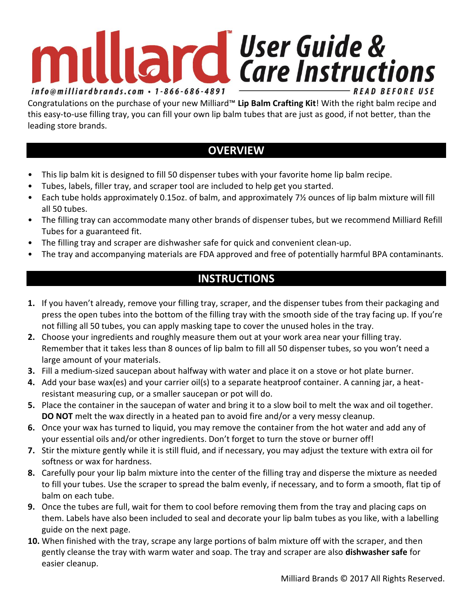## • Tubes, labels, filler tray, and scraper tool are included to help get you started. • Each tube holds approximately 0.15oz. of balm, and approximately 7<sup>1</sup>/<sub>2</sub> ounces of lip balm mixture will fill • The filling tray can accommodate many other brands of dispenser tubes, but we recommend Milliard Refill Tubes for a guaranteed fit.

• The filling tray and scraper are dishwasher safe for quick and convenient clean-up.

leading store brands.

all 50 tubes.

• The tray and accompanying materials are FDA approved and free of potentially harmful BPA contaminants.

## **INSTRUCTIONS**

- **1.** If you haven't already, remove your filling tray, scraper, and the dispenser tubes from their packaging and press the open tubes into the bottom of the filling tray with the smooth side of the tray facing up. If you're not filling all 50 tubes, you can apply masking tape to cover the unused holes in the tray.
- **2.** Choose your ingredients and roughly measure them out at your work area near your filling tray. Remember that it takes less than 8 ounces of lip balm to fill all 50 dispenser tubes, so you won't need a large amount of your materials.
- **3.** Fill a medium-sized saucepan about halfway with water and place it on a stove or hot plate burner.
- **4.** Add your base wax(es) and your carrier oil(s) to a separate heatproof container. A canning jar, a heatresistant measuring cup, or a smaller saucepan or pot will do.
- **5.** Place the container in the saucepan of water and bring it to a slow boil to melt the wax and oil together. **DO NOT** melt the wax directly in a heated pan to avoid fire and/or a very messy cleanup.
- **6.** Once your wax has turned to liquid, you may remove the container from the hot water and add any of your essential oils and/or other ingredients. Don't forget to turn the stove or burner off!
- **7.** Stir the mixture gently while it is still fluid, and if necessary, you may adjust the texture with extra oil for softness or wax for hardness.
- **8.** Carefully pour your lip balm mixture into the center of the filling tray and disperse the mixture as needed to fill your tubes. Use the scraper to spread the balm evenly, if necessary, and to form a smooth, flat tip of balm on each tube.
- **9.** Once the tubes are full, wait for them to cool before removing them from the tray and placing caps on them. Labels have also been included to seal and decorate your lip balm tubes as you like, with a labelling guide on the next page.
- **10.** When finished with the tray, scrape any large portions of balm mixture off with the scraper, and then gently cleanse the tray with warm water and soap. The tray and scraper are also **dishwasher safe** for easier cleanup.

## **milliard** User Guide & info@milliardbrands.com · 1-866-686-4891

Congratulations on the purchase of your new Milliard™ **Lip Balm Crafting Kit**! With the right balm recipe and this easy-to-use filling tray, you can fill your own lip balm tubes that are just as good, if not better, than the

**OVERVIEW**

• This lip balm kit is designed to fill 50 dispenser tubes with your favorite home lip balm recipe.

**READ BEFORE USE**